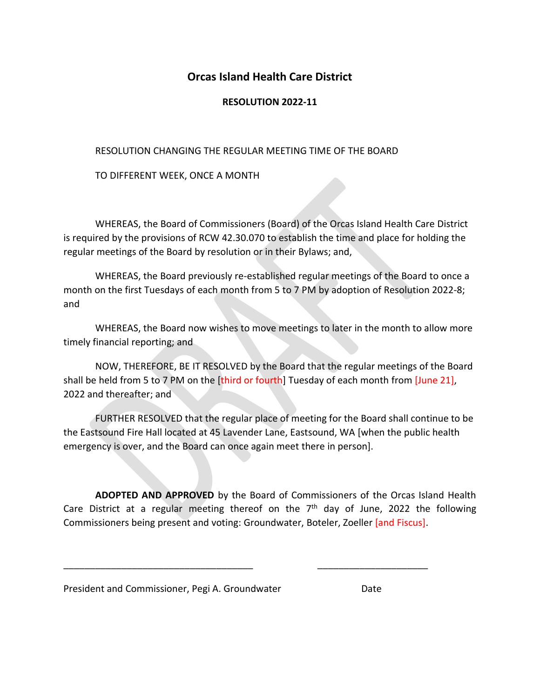## **Orcas Island Health Care District**

## **RESOLUTION 2022-11**

## RESOLUTION CHANGING THE REGULAR MEETING TIME OF THE BOARD

TO DIFFERENT WEEK, ONCE A MONTH

WHEREAS, the Board of Commissioners (Board) of the Orcas Island Health Care District is required by the provisions of RCW 42.30.070 to establish the time and place for holding the regular meetings of the Board by resolution or in their Bylaws; and,

WHEREAS, the Board previously re-established regular meetings of the Board to once a month on the first Tuesdays of each month from 5 to 7 PM by adoption of Resolution 2022-8; and

WHEREAS, the Board now wishes to move meetings to later in the month to allow more timely financial reporting; and

NOW, THEREFORE, BE IT RESOLVED by the Board that the regular meetings of the Board shall be held from 5 to 7 PM on the [third or fourth] Tuesday of each month from [June 21], 2022 and thereafter; and

FURTHER RESOLVED that the regular place of meeting for the Board shall continue to be the Eastsound Fire Hall located at 45 Lavender Lane, Eastsound, WA [when the public health emergency is over, and the Board can once again meet there in person].

**ADOPTED AND APPROVED** by the Board of Commissioners of the Orcas Island Health Care District at a regular meeting thereof on the  $7<sup>th</sup>$  day of June, 2022 the following Commissioners being present and voting: Groundwater, Boteler, Zoeller [and Fiscus].

\_\_\_\_\_\_\_\_\_\_\_\_\_\_\_\_\_\_\_\_\_\_\_\_\_\_\_\_\_\_\_\_\_\_\_\_ \_\_\_\_\_\_\_\_\_\_\_\_\_\_\_\_\_\_\_\_\_

President and Commissioner, Pegi A. Groundwater **Date** Date